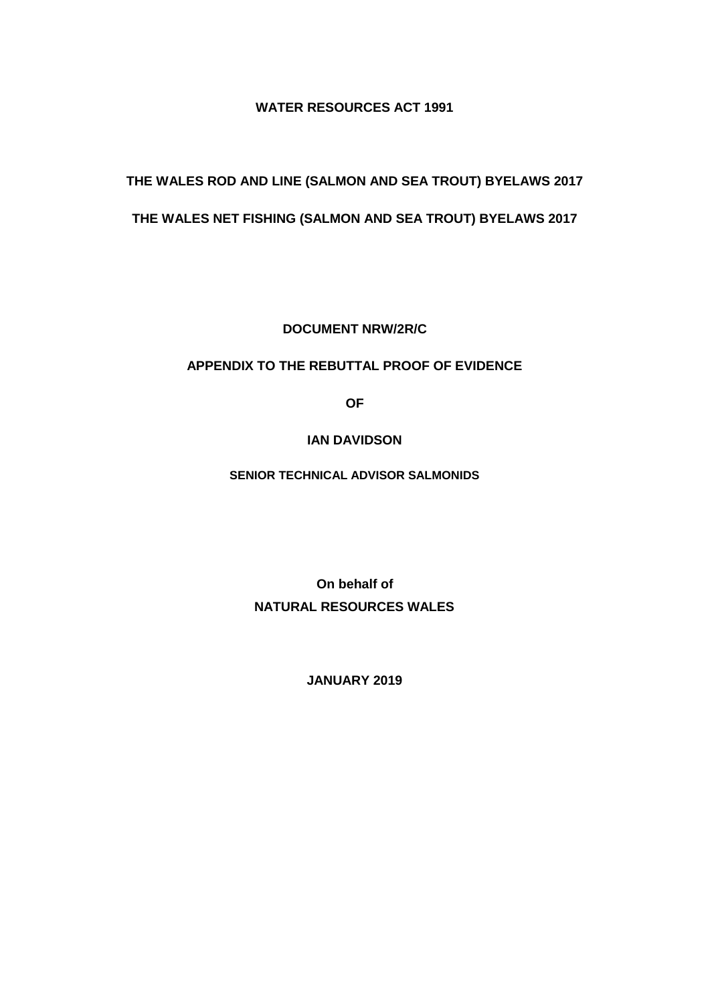## **WATER RESOURCES ACT 1991**

# **THE WALES ROD AND LINE (SALMON AND SEA TROUT) BYELAWS 2017**

# **THE WALES NET FISHING (SALMON AND SEA TROUT) BYELAWS 2017**

**DOCUMENT NRW/2R/C**

## **APPENDIX TO THE REBUTTAL PROOF OF EVIDENCE**

**OF**

### **IAN DAVIDSON**

**SENIOR TECHNICAL ADVISOR SALMONIDS**

**On behalf of NATURAL RESOURCES WALES**

**JANUARY 2019**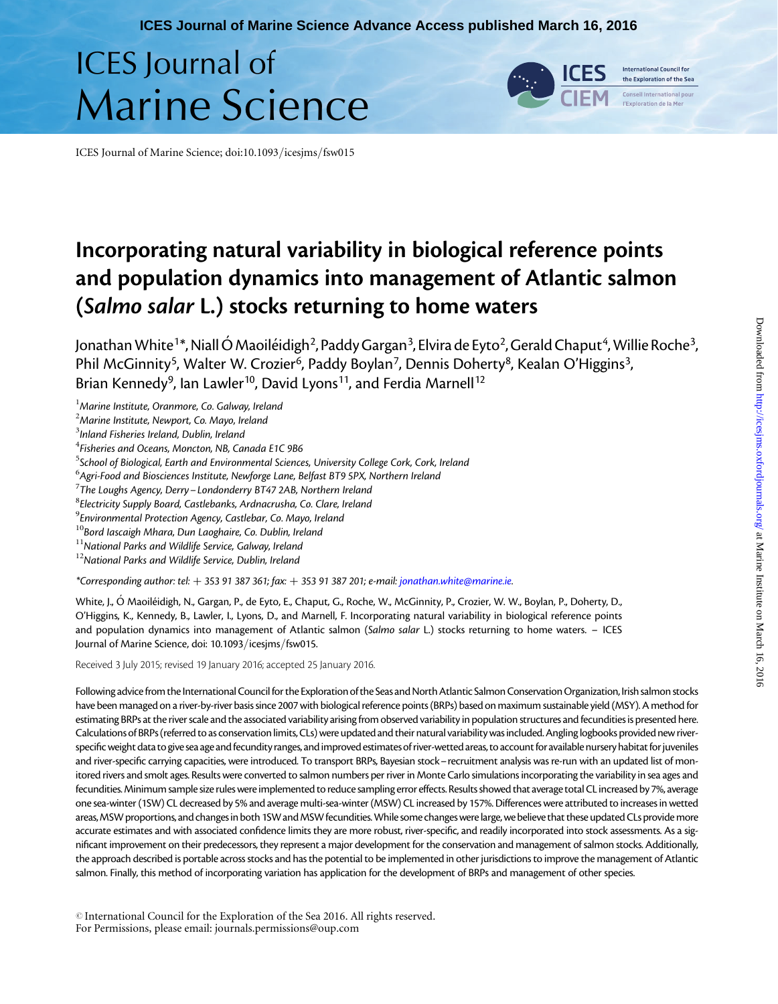# ICES Journal of Marine Science



the Exploration of the Sea seil International nou

ICES Journal of Marine Science; doi:10.1093/icesjms/fsw015

# Incorporating natural variability in biological reference points and population dynamics into management of Atlantic salmon (Salmo salar L.) stocks returning to home waters

Jonathan White<sup>1\*</sup>, Niall Ó Maoiléidigh<sup>2</sup>, Paddy Gargan<sup>3</sup>, Elvira de Eyto<sup>2</sup>, Gerald Chaput<sup>4</sup>, Willie Roche<sup>3</sup>, Phil McGinnity<sup>5</sup>, Walter W. Crozier<sup>6</sup>, Paddy Boylan<sup>7</sup>, Dennis Doherty<sup>8</sup>, Kealan O'Higgins<sup>3</sup>, Brian Kennedy<sup>9</sup>, Ian Lawler<sup>10</sup>, David Lyons<sup>11</sup>, and Ferdia Marnell<sup>12</sup>

 $<sup>1</sup>$ Marine Institute, Oranmore, Co. Galway, Ireland</sup>

- $^{2}$ Marine Institute, Newport, Co. Mayo, Ireland
- $^3$ Inland Fisheries Ireland, Dublin, Ireland
- $^4$ Fisheries and Oceans, Moncton, NB, Canada E1C 9B6

<sup>5</sup>School of Biological, Earth and Environmental Sciences, University College Cork, Cork, Ireland

 $^6$ Agri-Food and Biosciences Institute, Newforge Lane, Belfast BT9 5PX, Northern Ireland

 $7$ The Loughs Agency, Derry – Londonderry BT47 2AB, Northern Ireland

<sup>8</sup> Electricity Supply Board, Castlebanks, Ardnacrusha, Co. Clare, Ireland

 $^9$ Environmental Protection Agency, Castlebar, Co. Mayo, Ireland

 $10B$ ord Iascaigh Mhara, Dun Laoghaire, Co. Dublin, Ireland

 $11$ National Parks and Wildlife Service, Galway, Ireland

 $12$ National Parks and Wildlife Service, Dublin, Ireland

\*Corresponding author: tel:  $+353$  91 387 361; fax:  $+353$  91 387 201; e-mail: [jonathan.white@marine.ie.](mailto:jonathan.white@marine.ie)

White, J., Ó Maoiléidigh, N., Gargan, P., de Eyto, E., Chaput, G., Roche, W., McGinnity, P., Crozier, W. W., Boylan, P., Doherty, D., O'Higgins, K., Kennedy, B., Lawler, I., Lyons, D., and Marnell, F. Incorporating natural variability in biological reference points and population dynamics into management of Atlantic salmon (Salmo salar L.) stocks returning to home waters. - ICES Journal of Marine Science, doi: 10.1093/icesjms/fsw015.

Received 3 July 2015; revised 19 January 2016; accepted 25 January 2016.

Following advice from the International Council for the Exploration of the Seas and North Atlantic Salmon Conservation Organization, Irish salmon stocks have been managed on a river-by-river basis since 2007 with biological reference points (BRPs) based on maximum sustainable yield (MSY). A method for estimating BRPs at the river scale and the associated variability arising from observed variability in population structures and fecundities is presented here. Calculations of BRPs (referred to as conservation limits, CLs) were updated and their natural variability was included. Angling logbooks provided new riverspecific weight data to give sea age and fecundity ranges, and improved estimates of river-wetted areas, to account for available nursery habitat for juveniles and river-specific carrying capacities, were introduced. To transport BRPs, Bayesian stock– recruitment analysis was re-run with an updated list of monitored rivers and smolt ages. Results were converted to salmon numbers per river in Monte Carlo simulations incorporating the variability in sea ages and fecundities.Minimum sample size rules were implemented to reduce sampling error effects. Results showed that average total CL increased by 7%, average one sea-winter (1SW) CL decreased by 5% and average multi-sea-winter (MSW) CL increased by 157%. Differences were attributed to increases in wetted areas, MSW proportions, and changes in both 1SW and MSW fecundities. While some changes were large, we believe that these updated CLs provide more accurate estimates and with associated confidence limits they are more robust, river-specific, and readily incorporated into stock assessments. As a significant improvement on their predecessors, they represent a major development for the conservation and management of salmon stocks. Additionally, the approach described is portable across stocks and has the potential to be implemented in other jurisdictions to improve the management of Atlantic salmon. Finally, this method of incorporating variation has application for the development of BRPs and management of other species.

© International Council for the Exploration of the Sea 2016. All rights reserved. For Permissions, please email: journals.permissions@oup.com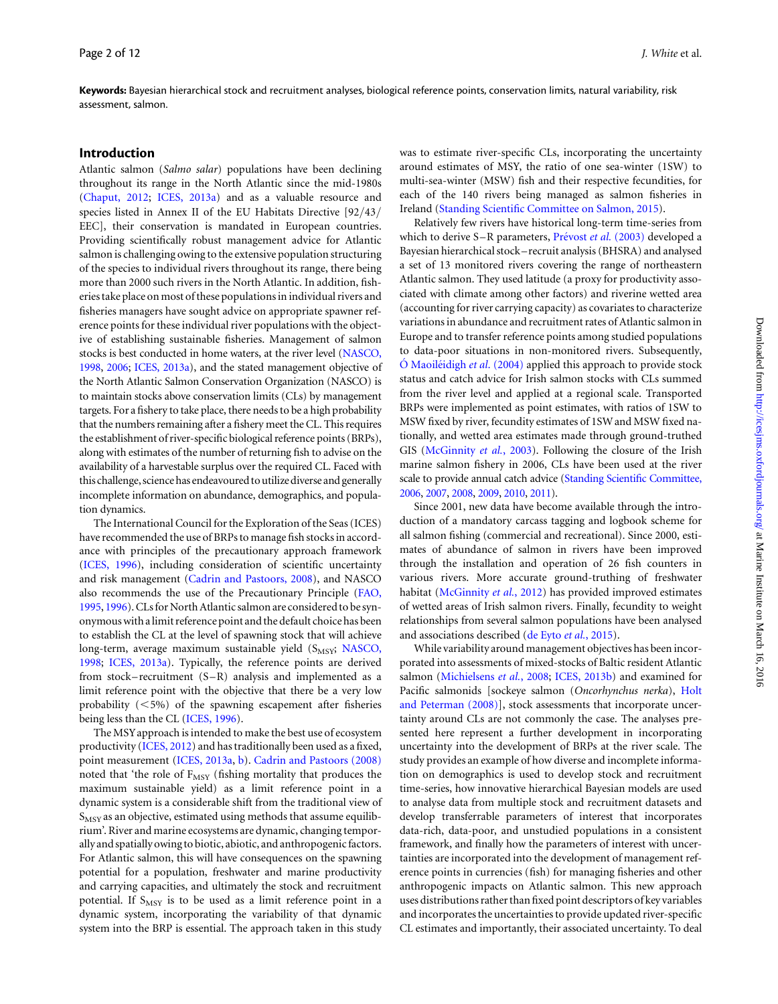Keywords: Bayesian hierarchical stock and recruitment analyses, biological reference points, conservation limits, natural variability, risk assessment, salmon.

#### Introduction

Atlantic salmon (Salmo salar) populations have been declining throughout its range in the North Atlantic since the mid-1980s ([Chaput, 2012;](#page-11-0) [ICES, 2013a](#page-11-0)) and as a valuable resource and species listed in Annex II of the EU Habitats Directive [92/43/ EEC], their conservation is mandated in European countries. Providing scientifically robust management advice for Atlantic salmon is challenging owing to the extensive population structuring of the species to individual rivers throughout its range, there being more than 2000 such rivers in the North Atlantic. In addition, fisheries take place on most of these populations in individual rivers and fisheries managers have sought advice on appropriate spawner reference points for these individual river populations with the objective of establishing sustainable fisheries. Management of salmon stocks is best conducted in home waters, at the river level ([NASCO,](#page-11-0) [1998](#page-11-0), [2006;](#page-11-0) [ICES, 2013a](#page-11-0)), and the stated management objective of the North Atlantic Salmon Conservation Organization (NASCO) is to maintain stocks above conservation limits (CLs) by management targets. For a fishery to take place, there needs to be a high probability that the numbers remaining after a fishery meet the CL. This requires the establishment of river-specific biological reference points (BRPs), along with estimates of the number of returning fish to advise on the availability of a harvestable surplus over the required CL. Faced with this challenge, science has endeavoured to utilize diverse and generally incomplete information on abundance, demographics, and population dynamics.

The International Council for the Exploration of the Seas (ICES) have recommended the use of BRPs to manage fish stocks in accordance with principles of the precautionary approach framework ([ICES, 1996\)](#page-11-0), including consideration of scientific uncertainty and risk management ([Cadrin and Pastoors, 2008](#page-11-0)), and NASCO also recommends the use of the Precautionary Principle ([FAO,](#page-11-0) [1995,](#page-11-0) [1996](#page-11-0)). CLs for North Atlantic salmon are considered to be synonymouswith a limit reference point and the default choice has been to establish the CL at the level of spawning stock that will achieve long-term, average maximum sustainable yield (S<sub>MSY</sub>; [NASCO,](#page-11-0) [1998;](#page-11-0) [ICES, 2013a\)](#page-11-0). Typically, the reference points are derived from stock–recruitment  $(S-R)$  analysis and implemented as a limit reference point with the objective that there be a very low probability  $(<5\%)$  of the spawning escapement after fisheries being less than the CL [\(ICES, 1996](#page-11-0)).

The MSYapproach is intended to make the best use of ecosystem productivity ([ICES, 2012\)](#page-11-0) and has traditionally been used as a fixed, point measurement [\(ICES, 2013a](#page-11-0), [b](#page-11-0)). [Cadrin and Pastoors \(2008\)](#page-11-0) noted that 'the role of F<sub>MSY</sub> (fishing mortality that produces the maximum sustainable yield) as a limit reference point in a dynamic system is a considerable shift from the traditional view of  $S_{MSY}$  as an objective, estimated using methods that assume equilibrium'. River and marine ecosystems are dynamic, changing temporally and spatially owing to biotic, abiotic, and anthropogenic factors. For Atlantic salmon, this will have consequences on the spawning potential for a population, freshwater and marine productivity and carrying capacities, and ultimately the stock and recruitment potential. If  $S_{MSY}$  is to be used as a limit reference point in a dynamic system, incorporating the variability of that dynamic system into the BRP is essential. The approach taken in this study was to estimate river-specific CLs, incorporating the uncertainty around estimates of MSY, the ratio of one sea-winter (1SW) to multi-sea-winter (MSW) fish and their respective fecundities, for each of the 140 rivers being managed as salmon fisheries in Ireland ([Standing Scientific Committee on Salmon, 2015\)](#page-12-0).

Relatively few rivers have historical long-term time-series from which to derive S-R parameters, Prévost et al. (2003) developed a Bayesian hierarchical stock – recruit analysis (BHSRA) and analysed a set of 13 monitored rivers covering the range of northeastern Atlantic salmon. They used latitude (a proxy for productivity associated with climate among other factors) and riverine wetted area (accounting for river carrying capacity) as covariates to characterize variations in abundance and recruitment rates of Atlantic salmon in Europe and to transfer reference points among studied populations to data-poor situations in non-monitored rivers. Subsequently,  $\acute{o}$  Maoiletidigh *et al.* (2004) applied this approach to provide stock status and catch advice for Irish salmon stocks with CLs summed from the river level and applied at a regional scale. Transported BRPs were implemented as point estimates, with ratios of 1SW to MSW fixed by river, fecundity estimates of 1SW and MSW fixed nationally, and wetted area estimates made through ground-truthed GIS ([McGinnity](#page-11-0) et al., 2003). Following the closure of the Irish marine salmon fishery in 2006, CLs have been used at the river scale to provide annual catch advice ([Standing Scientific Committee,](#page-12-0) [2006](#page-12-0), [2007,](#page-12-0) [2008](#page-12-0), [2009,](#page-12-0) [2010](#page-12-0), [2011\)](#page-12-0).

Since 2001, new data have become available through the introduction of a mandatory carcass tagging and logbook scheme for all salmon fishing (commercial and recreational). Since 2000, estimates of abundance of salmon in rivers have been improved through the installation and operation of 26 fish counters in various rivers. More accurate ground-truthing of freshwater habitat ([McGinnity](#page-11-0) et al., 2012) has provided improved estimates of wetted areas of Irish salmon rivers. Finally, fecundity to weight relationships from several salmon populations have been analysed and associations described [\(de Eyto](#page-11-0) et al., 2015).

While variability around management objectives has been incorporated into assessments of mixed-stocks of Baltic resident Atlantic salmon [\(Michielsens](#page-11-0) et al., 2008; [ICES, 2013b\)](#page-11-0) and examined for Pacific salmonids [sockeye salmon (Oncorhynchus nerka), [Holt](#page-11-0) [and Peterman \(2008\)](#page-11-0)], stock assessments that incorporate uncertainty around CLs are not commonly the case. The analyses presented here represent a further development in incorporating uncertainty into the development of BRPs at the river scale. The study provides an example of how diverse and incomplete information on demographics is used to develop stock and recruitment time-series, how innovative hierarchical Bayesian models are used to analyse data from multiple stock and recruitment datasets and develop transferrable parameters of interest that incorporates data-rich, data-poor, and unstudied populations in a consistent framework, and finally how the parameters of interest with uncertainties are incorporated into the development of management reference points in currencies (fish) for managing fisheries and other anthropogenic impacts on Atlantic salmon. This new approach uses distributions rather than fixed point descriptors of key variables and incorporates the uncertainties to provide updated river-specific CL estimates and importantly, their associated uncertainty. To deal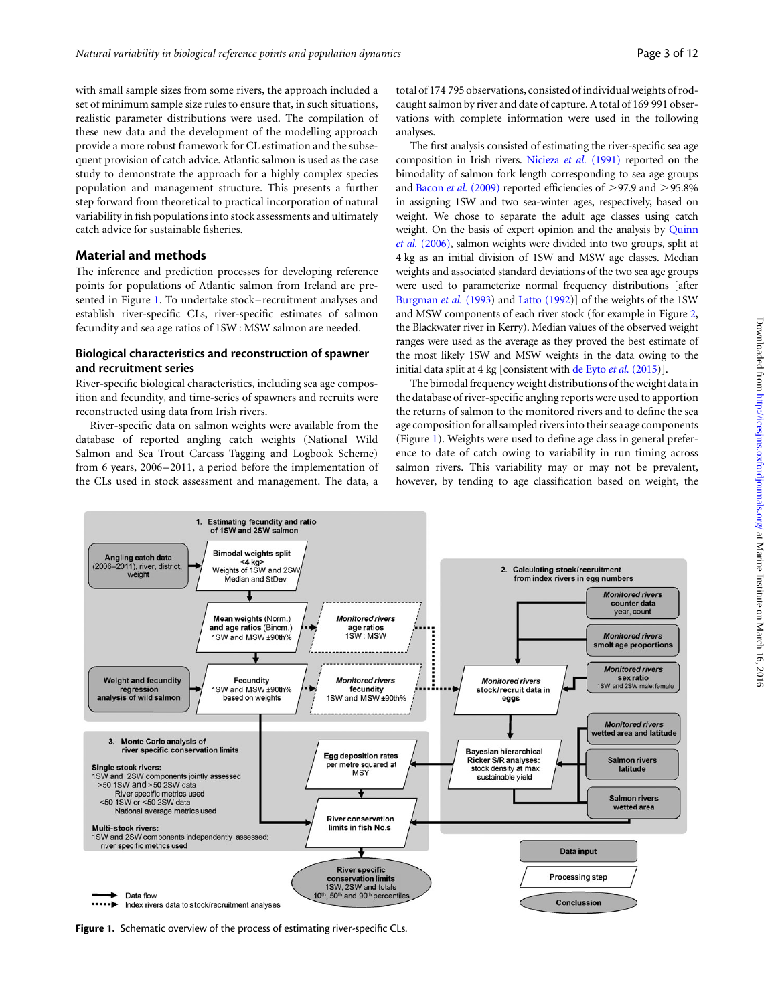with small sample sizes from some rivers, the approach included a set of minimum sample size rules to ensure that, in such situations, realistic parameter distributions were used. The compilation of these new data and the development of the modelling approach provide a more robust framework for CL estimation and the subsequent provision of catch advice. Atlantic salmon is used as the case study to demonstrate the approach for a highly complex species population and management structure. This presents a further step forward from theoretical to practical incorporation of natural variability in fish populations into stock assessments and ultimately catch advice for sustainable fisheries.

#### Material and methods

The inference and prediction processes for developing reference points for populations of Atlantic salmon from Ireland are presented in Figure 1. To undertake stock – recruitment analyses and establish river-specific CLs, river-specific estimates of salmon fecundity and sea age ratios of 1SW : MSW salmon are needed.

#### Biological characteristics and reconstruction of spawner and recruitment series

River-specific biological characteristics, including sea age composition and fecundity, and time-series of spawners and recruits were reconstructed using data from Irish rivers.

River-specific data on salmon weights were available from the database of reported angling catch weights (National Wild Salmon and Sea Trout Carcass Tagging and Logbook Scheme) from 6 years, 2006–2011, a period before the implementation of the CLs used in stock assessment and management. The data, a

total of 174 795 observations, consisted of individual weights of rodcaught salmon by river and date of capture. A total of 169 991 observations with complete information were used in the following analyses.

The first analysis consisted of estimating the river-specific sea age composition in Irish rivers. [Nicieza](#page-11-0) et al. (1991) reported on the bimodality of salmon fork length corresponding to sea age groups and Bacon et al. [\(2009\)](#page-11-0) reported efficiencies of  $>97.9$  and  $>95.8\%$ in assigning 1SW and two sea-winter ages, respectively, based on weight. We chose to separate the adult age classes using catch weight. On the basis of expert opinion and the analysis by [Quinn](#page-12-0) et al. [\(2006\),](#page-12-0) salmon weights were divided into two groups, split at 4 kg as an initial division of 1SW and MSW age classes. Median weights and associated standard deviations of the two sea age groups were used to parameterize normal frequency distributions [after [Burgman](#page-11-0) et al. (1993) and [Latto \(1992\)](#page-11-0)] of the weights of the 1SW and MSW components of each river stock (for example in Figure [2,](#page-4-0) the Blackwater river in Kerry). Median values of the observed weight ranges were used as the average as they proved the best estimate of the most likely 1SW and MSW weights in the data owing to the initial data split at 4 kg [consistent with [de Eyto](#page-11-0) et al. (2015)].

The bimodal frequency weight distributions of the weight data in the database of river-specific angling reports were used to apportion the returns of salmon to the monitored rivers and to define the sea age composition for all sampled rivers into their sea age components (Figure 1). Weights were used to define age class in general preference to date of catch owing to variability in run timing across salmon rivers. This variability may or may not be prevalent, however, by tending to age classification based on weight, the



Figure 1. Schematic overview of the process of estimating river-specific CLs.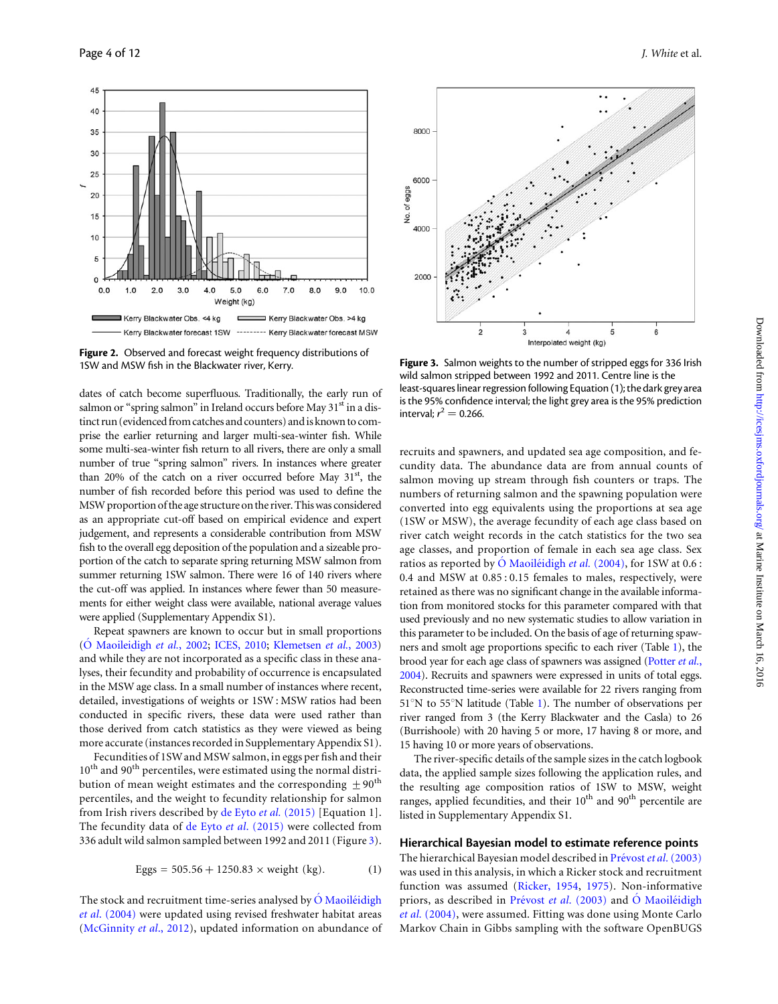<span id="page-4-0"></span>

Figure 2. Observed and forecast weight frequency distributions of

dates of catch become superfluous. Traditionally, the early run of salmon or "spring salmon" in Ireland occurs before May 31<sup>st</sup> in a distinct run (evidenced from catches and counters) and is known to comprise the earlier returning and larger multi-sea-winter fish. While some multi-sea-winter fish return to all rivers, there are only a small number of true "spring salmon" rivers. In instances where greater than 20% of the catch on a river occurred before May  $31<sup>st</sup>$ , the number of fish recorded before this period was used to define the MSW proportion of the age structure on the river. Thiswas considered as an appropriate cut-off based on empirical evidence and expert judgement, and represents a considerable contribution from MSW fish to the overall egg deposition of the population and a sizeable proportion of the catch to separate spring returning MSW salmon from summer returning 1SW salmon. There were 16 of 140 rivers where the cut-off was applied. In instances where fewer than 50 measurements for either weight class were available, national average values were applied ([Supplementary Appendix S1\)](http://icesjms.oxfordjournals.org/lookup/suppl/doi:10.1093/icesjms/fsw015/-/DC1).

Repeat spawners are known to occur but in small proportions (O´ [Maoileidigh](#page-11-0) et al., 2002; [ICES, 2010;](#page-11-0) [Klemetsen](#page-11-0) et al., 2003) and while they are not incorporated as a specific class in these analyses, their fecundity and probability of occurrence is encapsulated in the MSW age class. In a small number of instances where recent, detailed, investigations of weights or 1SW : MSW ratios had been conducted in specific rivers, these data were used rather than those derived from catch statistics as they were viewed as being more accurate (instances recorded in [Supplementary Appendix S1\)](http://icesjms.oxfordjournals.org/lookup/suppl/doi:10.1093/icesjms/fsw015/-/DC1).

Fecundities of 1SW and MSW salmon, in eggs per fish and their 10<sup>th</sup> and 90<sup>th</sup> percentiles, were estimated using the normal distribution of mean weight estimates and the corresponding  $\pm 90^{th}$ percentiles, and the weight to fecundity relationship for salmon from Irish rivers described by [de Eyto](#page-11-0) et al. (2015) [Equation 1]. The fecundity data of de Eyto et al[. \(2015\)](#page-11-0) were collected from 336 adult wild salmon sampled between 1992 and 2011 (Figure 3).

Eggs = 
$$
505.56 + 1250.83 \times
$$
 weight (kg). (1)

The stock and recruitment time-series analysed by  $\acute{o}$  Maoile $\acute{o}$ idigh et al[. \(2004\)](#page-11-0) were updated using revised freshwater habitat areas ([McGinnity](#page-11-0) et al., 2012), updated information on abundance of



1SW and MSW fish in the Blackwater river, Kerry. Figure 3. Salmon weights to the number of stripped eggs for 336 Irish wild salmon stripped between 1992 and 2011. Centre line is the least-squares linear regression following Equation (1); the dark grey area is the 95% confidence interval; the light grey area is the 95% prediction interval;  $r^2 = 0.266$ .

recruits and spawners, and updated sea age composition, and fecundity data. The abundance data are from annual counts of salmon moving up stream through fish counters or traps. The numbers of returning salmon and the spawning population were converted into egg equivalents using the proportions at sea age (1SW or MSW), the average fecundity of each age class based on river catch weight records in the catch statistics for the two sea age classes, and proportion of female in each sea age class. Sex ratios as reported by  $\acute{O}$  Maoiletidigh et al. (2004), for 1SW at 0.6 : 0.4 and MSW at 0.85 : 0.15 females to males, respectively, were retained as there was no significant change in the available information from monitored stocks for this parameter compared with that used previously and no new systematic studies to allow variation in this parameter to be included. On the basis of age of returning spawners and smolt age proportions specific to each river (Table [1\)](#page-5-0), the brood year for each age class of spawners was assigned [\(Potter](#page-12-0) et al., [2004\)](#page-12-0). Recruits and spawners were expressed in units of total eggs. Reconstructed time-series were available for 22 rivers ranging from  $51^\circ$  $51^\circ$  $51^\circ$ N to  $55^\circ$ N latitude (Table 1). The number of observations per river ranged from 3 (the Kerry Blackwater and the Casla) to 26 (Burrishoole) with 20 having 5 or more, 17 having 8 or more, and 15 having 10 or more years of observations.

The river-specific details of the sample sizes in the catch logbook data, the applied sample sizes following the application rules, and the resulting age composition ratios of 1SW to MSW, weight ranges, applied fecundities, and their 10<sup>th</sup> and 90<sup>th</sup> percentile are listed in [Supplementary Appendix S1](http://icesjms.oxfordjournals.org/lookup/suppl/doi:10.1093/icesjms/fsw015/-/DC1).

#### Hierarchical Bayesian model to estimate reference points

The hierarchical Bayesian model described in Prévost et al. (2003) was used in this analysis, in which a Ricker stock and recruitment function was assumed ([Ricker, 1954](#page-12-0), [1975\)](#page-12-0). Non-informative priors, as described in Prévost et al. (2003) and  $\acute{o}$  Maoiléidigh et al. [\(2004\)](#page-11-0), were assumed. Fitting was done using Monte Carlo Markov Chain in Gibbs sampling with the software OpenBUGS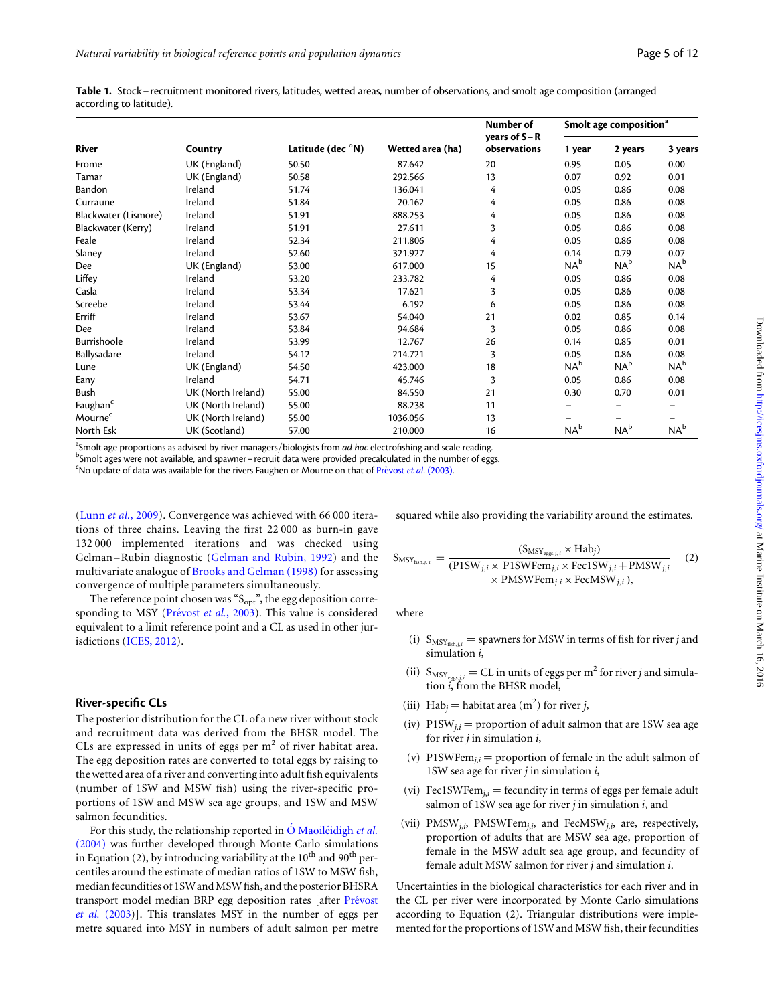<span id="page-5-0"></span>Table 1. Stock– recruitment monitored rivers, latitudes, wetted areas, number of observations, and smolt age composition (arranged according to latitude).

|                      |                    |                   |                  | Number of<br>years of $S - R$ | Smolt age composition <sup>a</sup> |                 |                 |  |
|----------------------|--------------------|-------------------|------------------|-------------------------------|------------------------------------|-----------------|-----------------|--|
| <b>River</b>         | Country            | Latitude (dec °N) | Wetted area (ha) | observations                  | 1 year                             | 2 years         | 3 years         |  |
| Frome                | UK (England)       | 50.50             | 87.642           | 20                            | 0.95                               | 0.05            | 0.00            |  |
| Tamar                | UK (England)       | 50.58             | 292.566          | 13                            | 0.07                               | 0.92            | 0.01            |  |
| Bandon               | Ireland            | 51.74             | 136.041          | 4                             | 0.05                               | 0.86            | 0.08            |  |
| Curraune             | Ireland            | 51.84             | 20.162           | 4                             | 0.05                               | 0.86            | 0.08            |  |
| Blackwater (Lismore) | Ireland            | 51.91             | 888.253          | 4                             | 0.05                               | 0.86            | 0.08            |  |
| Blackwater (Kerry)   | Ireland            | 51.91             | 27.611           | 3                             | 0.05                               | 0.86            | 0.08            |  |
| Feale                | Ireland            | 52.34             | 211.806          | 4                             | 0.05                               | 0.86            | 0.08            |  |
| Slaney               | Ireland            | 52.60             | 321.927          | 4                             | 0.14                               | 0.79            | 0.07            |  |
| Dee                  | UK (England)       | 53.00             | 617.000          | 15                            | $NA^b$                             | NA <sup>b</sup> | $NA^b$          |  |
| Liffey               | Ireland            | 53.20             | 233.782          | 4                             | 0.05                               | 0.86            | 0.08            |  |
| Casla                | Ireland            | 53.34             | 17.621           | 3                             | 0.05                               | 0.86            | 0.08            |  |
| Screebe              | Ireland            | 53.44             | 6.192            | 6                             | 0.05                               | 0.86            | 0.08            |  |
| Erriff               | Ireland            | 53.67             | 54.040           | 21                            | 0.02                               | 0.85            | 0.14            |  |
| Dee                  | Ireland            | 53.84             | 94.684           | 3                             | 0.05                               | 0.86            | 0.08            |  |
| Burrishoole          | Ireland            | 53.99             | 12.767           | 26                            | 0.14                               | 0.85            | 0.01            |  |
| Ballysadare          | Ireland            | 54.12             | 214.721          | 3                             | 0.05                               | 0.86            | 0.08            |  |
| Lune                 | UK (England)       | 54.50             | 423.000          | 18                            | $NA^b$                             | $NA^b$          | $NA^b$          |  |
| Eany                 | Ireland            | 54.71             | 45.746           | 3                             | 0.05                               | 0.86            | 0.08            |  |
| Bush                 | UK (North Ireland) | 55.00             | 84.550           | 21                            | 0.30                               | 0.70            | 0.01            |  |
| Faughan <sup>c</sup> | UK (North Ireland) | 55.00             | 88.238           | 11                            |                                    |                 |                 |  |
| Mourne <sup>c</sup>  | UK (North Ireland) | 55.00             | 1036.056         | 13                            |                                    |                 |                 |  |
| North Esk            | UK (Scotland)      | 57.00             | 210.000          | 16                            | $NA^b$                             | NA <sup>b</sup> | NA <sup>b</sup> |  |

<sup>a</sup>Smolt age proportions as advised by river managers/biologists from *ad hoc* electrofishing and scale reading.<br><sup>b</sup>Smolt ages were not available and spawner, recruit data were provided precelsulated in the pumber of egg

bSmolt ages were not available, and spawner - recruit data were provided precalculated in the number of eggs.

No update of data was available for the rivers Faughen or Mourne on that of Prevost et al. (2003).

(Lunn et al.[, 2009\)](#page-11-0). Convergence was achieved with 66 000 iterations of three chains. Leaving the first 22 000 as burn-in gave 132 000 implemented iterations and was checked using Gelman –Rubin diagnostic [\(Gelman and Rubin, 1992](#page-11-0)) and the multivariate analogue of [Brooks and Gelman \(1998\)](#page-11-0) for assessing convergence of multiple parameters simultaneously.

The reference point chosen was " $S_{opt}$ ", the egg deposition corresponding to MSY (Prévost et al., 2003). This value is considered equivalent to a limit reference point and a CL as used in other jurisdictions ([ICES, 2012](#page-11-0)).

#### River-specific CLs

The posterior distribution for the CL of a new river without stock and recruitment data was derived from the BHSR model. The CLs are expressed in units of eggs per  $m<sup>2</sup>$  of river habitat area. The egg deposition rates are converted to total eggs by raising to the wetted area of a river and converting into adult fish equivalents (number of 1SW and MSW fish) using the river-specific proportions of 1SW and MSW sea age groups, and 1SW and MSW salmon fecundities.

For this study, the relationship reported in  $\acute{o}$  Maoiletidigh et al. [\(2004\)](#page-11-0) was further developed through Monte Carlo simulations in Equation (2), by introducing variability at the  $10^{th}$  and  $90^{th}$  percentiles around the estimate of median ratios of 1SW to MSW fish, median fecundities of 1SW and MSW fish, and the posterior BHSRA transport model median BRP egg deposition rates [after Prévost et al. [\(2003](#page-12-0))]. This translates MSY in the number of eggs per metre squared into MSY in numbers of adult salmon per metre squared while also providing the variability around the estimates.

$$
S_{MSY_{fish,j,i}} = \frac{(S_{MSY_{eggs,j,i}} \times Hab_j)}{(P1SW_{j,i} \times P1SWFem_{j,i} \times Fec1SW_{j,i} + PMSW_{j,i} \times PMSWFem_{j,i} \times FecMSW_{j,i})}
$$
(2)

where

- (i)  $S_{MSY_{fish,i}}$  = spawners for MSW in terms of fish for river j and simulation *i*,
- (ii)  $S_{MSY_{eggs,i,i}} = CL$  in units of eggs per m<sup>2</sup> for river j and simulation i, from the BHSR model,
- (iii) Hab<sub>j</sub> = habitat area (m<sup>2</sup>) for river *j*,
- (iv)  $P1SW_{j,i} =$  proportion of adult salmon that are 1SW sea age for river  $j$  in simulation  $i$ ,
- (v) P1SWFem $_{i,i}$  = proportion of female in the adult salmon of 1SW sea age for river  $j$  in simulation  $i$ ,
- (vi) Fec1SWFe $m_{i,i}$  = fecundity in terms of eggs per female adult salmon of 1SW sea age for river  $j$  in simulation  $i$ , and
- (vii)  $PMSW_{j,i}$ ,  $PMSWFem_{j,i}$ , and  $FecMSW_{j,i}$ , are, respectively, proportion of adults that are MSW sea age, proportion of female in the MSW adult sea age group, and fecundity of female adult MSW salmon for river j and simulation i.

Uncertainties in the biological characteristics for each river and in the CL per river were incorporated by Monte Carlo simulations according to Equation (2). Triangular distributions were implemented for the proportions of 1SW and MSW fish, their fecundities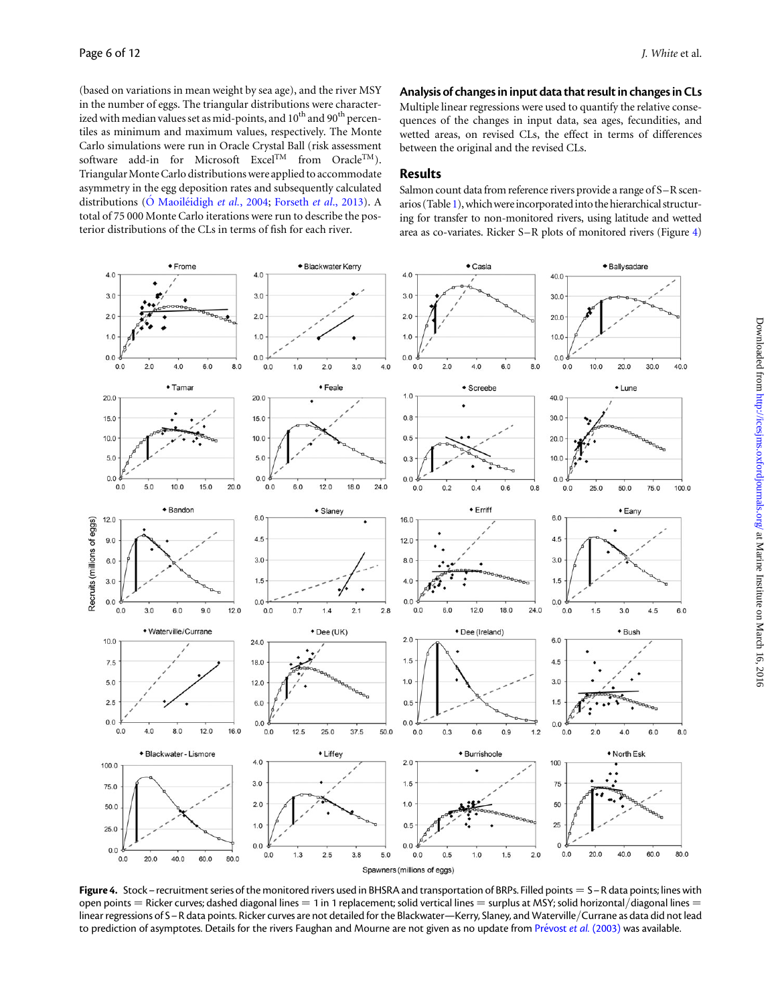<span id="page-6-0"></span>(based on variations in mean weight by sea age), and the river MSY in the number of eggs. The triangular distributions were characterized with median values set as mid-points, and  $10^{th}$  and  $90^{th}$  percentiles as minimum and maximum values, respectively. The Monte Carlo simulations were run in Oracle Crystal Ball (risk assessment software add-in for Microsoft Excel<sup>TM</sup> from Oracle<sup>TM</sup>). Triangular Monte Carlo distributions were applied to accommodate asymmetry in the egg deposition rates and subsequently calculated distributions ( $\acute{o}$  Maoiléidigh et al., 2004; [Forseth](#page-11-0) et al., 2013). A total of 75 000 Monte Carlo iterations were run to describe the posterior distributions of the CLs in terms of fish for each river.

Analysis of changes in input data that result in changes in CLs

Multiple linear regressions were used to quantify the relative consequences of the changes in input data, sea ages, fecundities, and wetted areas, on revised CLs, the effect in terms of differences between the original and the revised CLs.

#### Results

Salmon count data from reference rivers provide a range of S–R scen-arios (Table [1](#page-5-0)), which were incorporated into the hierarchical structuring for transfer to non-monitored rivers, using latitude and wetted area as co-variates. Ricker S–R plots of monitored rivers (Figure 4)



Figure 4. Stock – recruitment series of the monitored rivers used in BHSRA and transportation of BRPs. Filled points =  $S - R$  data points; lines with open points  $=$  Ricker curves; dashed diagonal lines  $=$  1 in 1 replacement; solid vertical lines  $=$  surplus at MSY; solid horizontal/diagonal lines  $=$ linear regressions of S–R data points. Ricker curves are not detailed for the Blackwater—Kerry, Slaney, and Waterville/Currane as data did not lead to prediction of asymptotes. Details for the rivers Faughan and Mourne are not given as no update from Prévost et al. (2003) was available.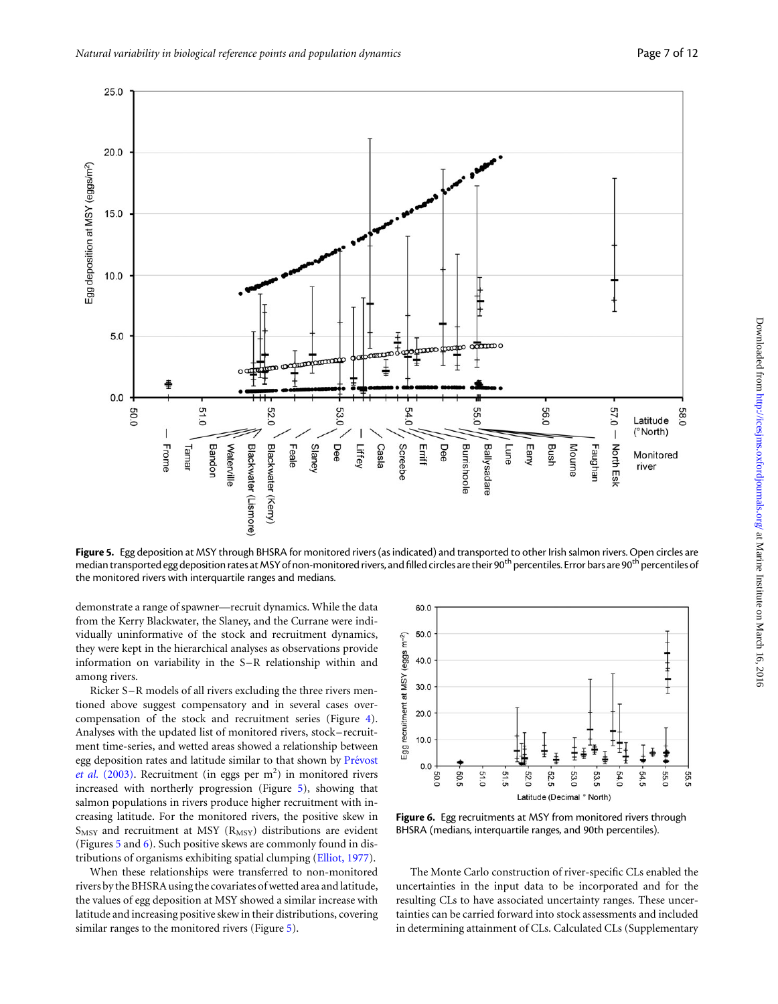

Figure 5. Egg deposition at MSY through BHSRA for monitored rivers (as indicated) and transported to other Irish salmon rivers. Open circles are median transported egg deposition rates at MSY of non-monitored rivers, and filled circles are their 90<sup>th</sup> percentiles. Error bars are 90<sup>th</sup> percentiles of the monitored rivers with interquartile ranges and medians.

demonstrate a range of spawner—recruit dynamics. While the data from the Kerry Blackwater, the Slaney, and the Currane were individually uninformative of the stock and recruitment dynamics, they were kept in the hierarchical analyses as observations provide information on variability in the S-R relationship within and among rivers.

Ricker S-R models of all rivers excluding the three rivers mentioned above suggest compensatory and in several cases overcompensation of the stock and recruitment series (Figure [4](#page-6-0)). Analyses with the updated list of monitored rivers, stock – recruitment time-series, and wetted areas showed a relationship between egg deposition rates and latitude similar to that shown by Prévost et al. [\(2003\)](#page-12-0). Recruitment (in eggs per  $m<sup>2</sup>$ ) in monitored rivers increased with northerly progression (Figure 5), showing that salmon populations in rivers produce higher recruitment with increasing latitude. For the monitored rivers, the positive skew in  $S_{MSY}$  and recruitment at MSY ( $R_{MSY}$ ) distributions are evident (Figures 5 and 6). Such positive skews are commonly found in distributions of organisms exhibiting spatial clumping ([Elliot, 1977\)](#page-11-0).

When these relationships were transferred to non-monitored rivers by the BHSRA using the covariates of wetted area and latitude, the values of egg deposition at MSY showed a similar increase with latitude and increasing positive skew in their distributions, covering similar ranges to the monitored rivers (Figure 5).



Figure 6. Egg recruitments at MSY from monitored rivers through BHSRA (medians, interquartile ranges, and 90th percentiles).

The Monte Carlo construction of river-specific CLs enabled the uncertainties in the input data to be incorporated and for the resulting CLs to have associated uncertainty ranges. These uncertainties can be carried forward into stock assessments and included in determining attainment of CLs. Calculated CLs [\(Supplementary](http://icesjms.oxfordjournals.org/lookup/suppl/doi:10.1093/icesjms/fsw015/-/DC1)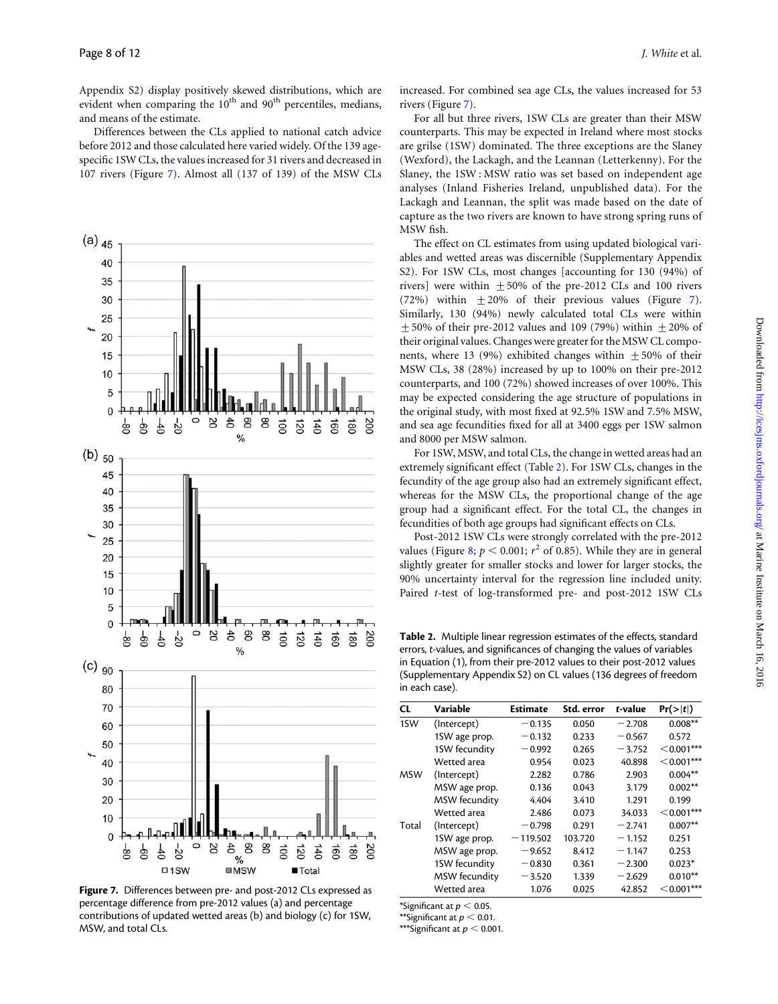[Appendix S2\)](http://icesjms.oxfordjournals.org/lookup/suppl/doi:10.1093/icesjms/fsw015/-/DC1) display positively skewed distributions, which are evident when comparing the  $10<sup>th</sup>$  and  $90<sup>th</sup>$  percentiles, medians, and means of the estimate.

Differences between the CLs applied to national catch advice before 2012 and those calculated here varied widely. Of the 139 agespecific 1SW CLs, the values increased for 31 rivers and decreased in 107 rivers (Figure 7). Almost all (137 of 139) of the MSW CLs



Figure 7. Differences between pre- and post-2012 CLs expressed as percentage difference from pre-2012 values (a) and percentage contributions of updated wetted areas (b) and biology (c) for 1SW, MSW, and total CLs.

increased. For combined sea age CLs, the values increased for 53 rivers (Figure 7).

For all but three rivers, 1SW CLs are greater than their MSW counterparts. This may be expected in Ireland where most stocks are grilse (1SW) dominated. The three exceptions are the Slaney (Wexford), the Lackagh, and the Leannan (Letterkenny). For the Slaney, the 1SW : MSW ratio was set based on independent age analyses (Inland Fisheries Ireland, unpublished data). For the Lackagh and Leannan, the split was made based on the date of capture as the two rivers are known to have strong spring runs of MSW fish.

The effect on CL estimates from using updated biological variables and wetted areas was discernible ([Supplementary Appendix](http://icesjms.oxfordjournals.org/lookup/suppl/doi:10.1093/icesjms/fsw015/-/DC1) [S2](http://icesjms.oxfordjournals.org/lookup/suppl/doi:10.1093/icesjms/fsw015/-/DC1)). For 1SW CLs, most changes [accounting for 130 (94%) of rivers] were within  $\pm 50\%$  of the pre-2012 CLs and 100 rivers (72%) within  $\pm 20\%$  of their previous values (Figure 7). Similarly, 130 (94%) newly calculated total CLs were within  $+50\%$  of their pre-2012 values and 109 (79%) within  $+20\%$  of their original values. Changes were greater for the MSW CL components, where 13 (9%) exhibited changes within  $\pm$  50% of their MSW CLs, 38 (28%) increased by up to 100% on their pre-2012 counterparts, and 100 (72%) showed increases of over 100%. This may be expected considering the age structure of populations in the original study, with most fixed at 92.5% 1SW and 7.5% MSW, and sea age fecundities fixed for all at 3400 eggs per 1SW salmon and 8000 per MSW salmon.

For 1SW, MSW, and total CLs, the change in wetted areas had an extremely significant effect (Table 2). For 1SW CLs, changes in the fecundity of the age group also had an extremely significant effect, whereas for the MSW CLs, the proportional change of the age group had a significant effect. For the total CL, the changes in fecundities of both age groups had significant effects on CLs.

Post-2012 1SW CLs were strongly correlated with the pre-2012 values (Figure [8;](#page-9-0)  $p < 0.001$ ;  $r^2$  of 0.85). While they are in general slightly greater for smaller stocks and lower for larger stocks, the 90% uncertainty interval for the regression line included unity. Paired t-test of log-transformed pre- and post-2012 1SW CLs

Table 2. Multiple linear regression estimates of the effects, standard errors, t-values, and significances of changing the values of variables in Equation (1), from their pre-2012 values to their post-2012 values ([Supplementary Appendix S2\) on CL values \(136 degrees of freedom](http://icesjms.oxfordjournals.org/lookup/suppl/doi:10.1093/icesjms/fsw015/-/DC1) [in each case\).](http://icesjms.oxfordjournals.org/lookup/suppl/doi:10.1093/icesjms/fsw015/-/DC1)

| <b>CL</b>  | Variable      | <b>Estimate</b> | Std. error | t-value  | Pr(> t )     |
|------------|---------------|-----------------|------------|----------|--------------|
| 1SW        | (Intercept)   | $-0.135$        | 0.050      | $-2.708$ | $0.008**$    |
|            | 1SW age prop. | $-0.132$        | 0.233      | $-0.567$ | 0.572        |
|            | 1SW fecundity | $-0.992$        | 0.265      | $-3.752$ | $<$ 0.001*** |
|            | Wetted area   | 0.954           | 0.023      | 40.898   | $<$ 0.001*** |
| <b>MSW</b> | (Intercept)   | 2.282           | 0.786      | 2.903    | $0.004**$    |
|            | MSW age prop. | 0.136           | 0.043      | 3.179    | $0.002**$    |
|            | MSW fecundity | 4.404           | 3.410      | 1.291    | 0.199        |
|            | Wetted area   | 2.486           | 0.073      | 34.033   | $<$ 0.001*** |
| Total      | (Intercept)   | $-0.798$        | 0.291      | $-2.741$ | $0.007**$    |
|            | 1SW age prop. | $-119.502$      | 103.720    | $-1.152$ | 0.251        |
|            | MSW age prop. | $-9.652$        | 8.412      | $-1.147$ | 0.253        |
|            | 1SW fecundity | $-0.830$        | 0.361      | $-2.300$ | $0.023*$     |
|            | MSW fecundity | $-3.520$        | 1.339      | $-2.629$ | $0.010**$    |
|            | Wetted area   | 1.076           | 0.025      | 42.852   | $<$ 0.001*** |

\*Significant at  $p < 0.05$ .

\*\*Significant at  $p < 0.01$ .

\*\*\*Significant at  $p < 0.001$ .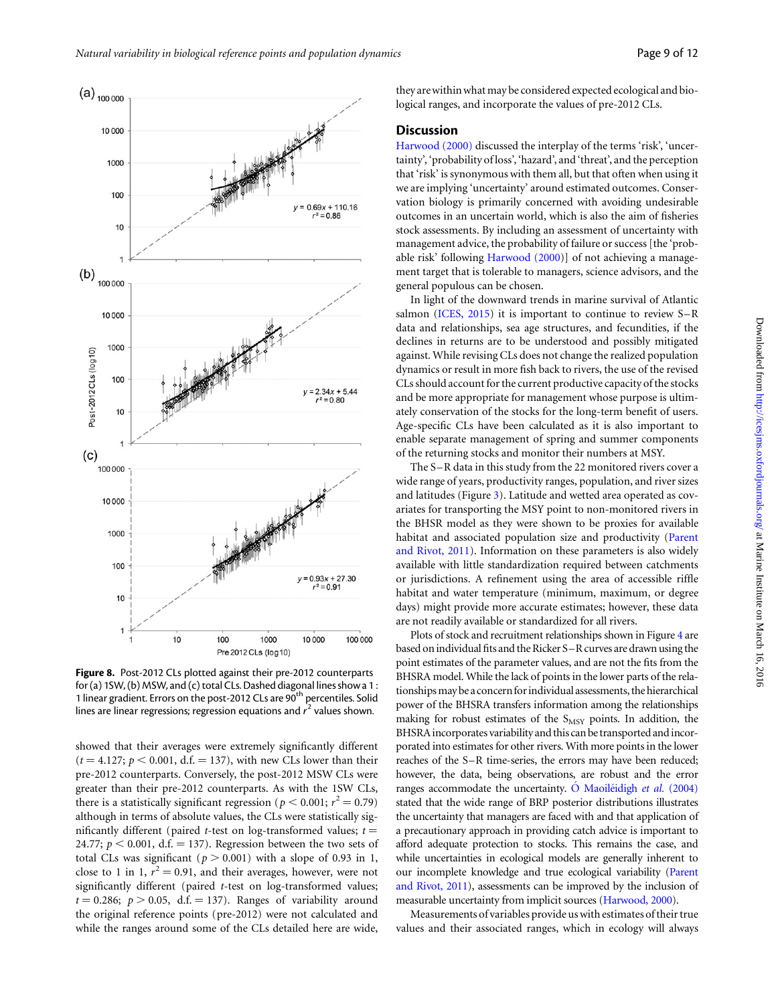<span id="page-9-0"></span>

Figure 8. Post-2012 CLs plotted against their pre-2012 counterparts for (a) 1SW, (b) MSW, and (c) total CLs. Dashed diagonal lines show a 1 : 1 linear gradient. Errors on the post-2012 CLs are 90<sup>th</sup> percentiles. Solid lines are linear regressions; regression equations and  $r^2$  values shown.

showed that their averages were extremely significantly different  $(t = 4.127; p < 0.001, d.f. = 137)$ , with new CLs lower than their pre-2012 counterparts. Conversely, the post-2012 MSW CLs were greater than their pre-2012 counterparts. As with the 1SW CLs, there is a statistically significant regression ( $p < 0.001$ ;  $r^2 = 0.79$ ) although in terms of absolute values, the CLs were statistically significantly different (paired t-test on log-transformed values;  $t =$ 24.77;  $p < 0.001$ , d.f. = 137). Regression between the two sets of total CLs was significant ( $p > 0.001$ ) with a slope of 0.93 in 1, close to 1 in 1,  $r^2 = 0.91$ , and their averages, however, were not significantly different (paired t-test on log-transformed values;  $t = 0.286$ ;  $p > 0.05$ , d.f. = 137). Ranges of variability around the original reference points (pre-2012) were not calculated and while the ranges around some of the CLs detailed here are wide,

they are within what may be considered expected ecological and biological ranges, and incorporate the values of pre-2012 CLs.

#### **Discussion**

[Harwood \(2000\)](#page-11-0) discussed the interplay of the terms 'risk', 'uncertainty', 'probability of loss', 'hazard', and 'threat', and the perception that 'risk' is synonymous with them all, but that often when using it we are implying 'uncertainty' around estimated outcomes. Conservation biology is primarily concerned with avoiding undesirable outcomes in an uncertain world, which is also the aim of fisheries stock assessments. By including an assessment of uncertainty with management advice, the probability of failure or success [the 'probable risk' following [Harwood \(2000](#page-11-0))] of not achieving a management target that is tolerable to managers, science advisors, and the general populous can be chosen.

In light of the downward trends in marine survival of Atlantic salmon ([ICES, 2015\)](#page-11-0) it is important to continue to review S–R data and relationships, sea age structures, and fecundities, if the declines in returns are to be understood and possibly mitigated against. While revising CLs does not change the realized population dynamics or result in more fish back to rivers, the use of the revised CLs should account for the current productive capacity of the stocks and be more appropriate for management whose purpose is ultimately conservation of the stocks for the long-term benefit of users. Age-specific CLs have been calculated as it is also important to enable separate management of spring and summer components of the returning stocks and monitor their numbers at MSY.

The S-R data in this study from the 22 monitored rivers cover a wide range of years, productivity ranges, population, and river sizes and latitudes (Figure [3\)](#page-4-0). Latitude and wetted area operated as covariates for transporting the MSY point to non-monitored rivers in the BHSR model as they were shown to be proxies for available habitat and associated population size and productivity ([Parent](#page-11-0) [and Rivot, 2011\)](#page-11-0). Information on these parameters is also widely available with little standardization required between catchments or jurisdictions. A refinement using the area of accessible riffle habitat and water temperature (minimum, maximum, or degree days) might provide more accurate estimates; however, these data are not readily available or standardized for all rivers.

Plots of stock and recruitment relationships shown in Figure [4](#page-6-0) are based on individual fits and the Ricker S–R curves are drawn using the point estimates of the parameter values, and are not the fits from the BHSRA model. While the lack of points in the lower parts of the relationships may be a concern for individual assessments, the hierarchical power of the BHSRA transfers information among the relationships making for robust estimates of the  $S_{MSY}$  points. In addition, the BHSRAincorporates variability and this can be transported andincorporated into estimates for other rivers. With more points in the lower reaches of the S–R time-series, the errors may have been reduced; however, the data, being observations, are robust and the error ranges accommodate the uncertainty. O Maoiletidigh et al.  $(2004)$ stated that the wide range of BRP posterior distributions illustrates the uncertainty that managers are faced with and that application of a precautionary approach in providing catch advice is important to afford adequate protection to stocks. This remains the case, and while uncertainties in ecological models are generally inherent to our incomplete knowledge and true ecological variability [\(Parent](#page-11-0) [and Rivot, 2011](#page-11-0)), assessments can be improved by the inclusion of measurable uncertainty from implicit sources [\(Harwood, 2000](#page-11-0)).

Measurements of variables provide us with estimates of their true values and their associated ranges, which in ecology will always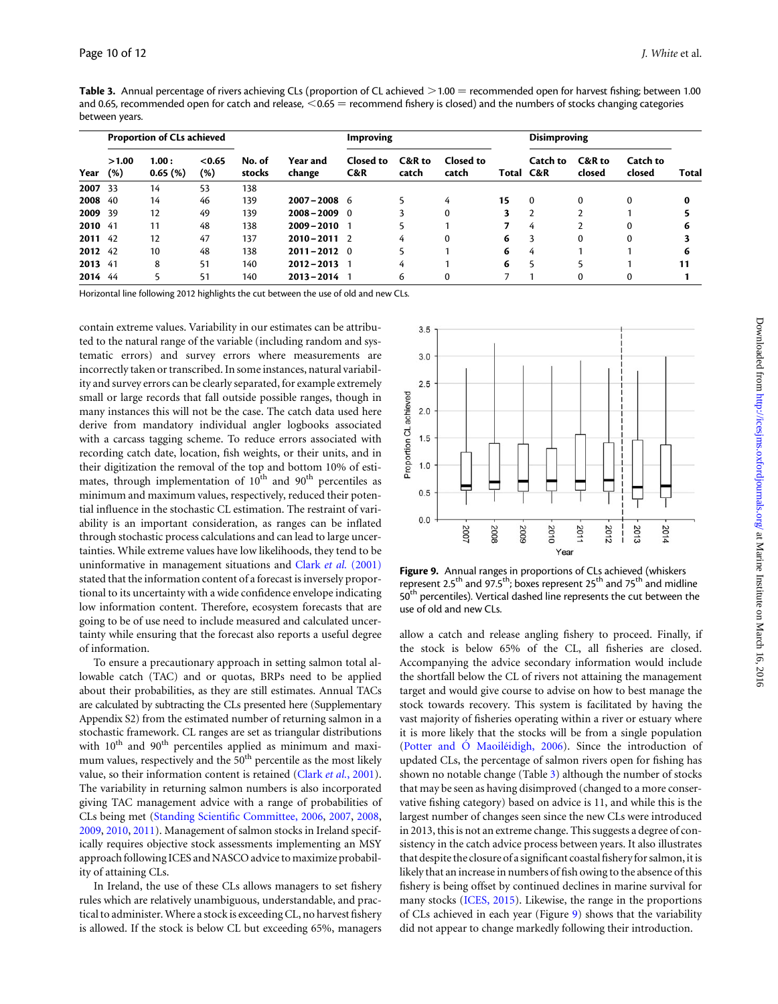Table 3. Annual percentage of rivers achieving CLs (proportion of CL achieved  $>1.00$  = recommended open for harvest fishing; between 1.00 and 0.65, recommended open for catch and release,  $<$  0.65 = recommend fishery is closed) and the numbers of stocks changing categories between years.

|         | <b>Proportion of CLs achieved</b> |                     |               |                  | Improving          |                  |                 |                    | <b>Disimproving</b> |                |                  |                    |              |
|---------|-----------------------------------|---------------------|---------------|------------------|--------------------|------------------|-----------------|--------------------|---------------------|----------------|------------------|--------------------|--------------|
| Year    | >1.00<br>(%)                      | 1.00:<br>$0.65$ (%) | < 0.65<br>(%) | No. of<br>stocks | Year and<br>change | Closed to<br>C&R | C&R to<br>catch | Closed to<br>catch | Total C&R           | Catch to       | C&R to<br>closed | Catch to<br>closed | <b>Total</b> |
| 2007 33 |                                   | 14                  | 53            | 138              |                    |                  |                 |                    |                     |                |                  |                    |              |
| 2008 40 |                                   | 14                  | 46            | 139              | $2007 - 2008$ 6    |                  |                 | 4                  | 15                  | $\Omega$       | 0                | $\Omega$           |              |
| 2009 39 |                                   | 12                  | 49            | 139              | $2008 - 2009$ 0    |                  |                 | 0                  |                     | $\overline{2}$ | <sup>1</sup>     |                    |              |
| 2010 41 |                                   | 11                  | 48            | 138              | $2009 - 2010$      |                  |                 |                    | 7                   | 4              | $\mathbf{2}$     | 0                  |              |
| 2011 42 |                                   | 12                  | 47            | 137              | $2010 - 2011$ 2    |                  | 4               | $\Omega$           | 6                   | 3              | $\Omega$         | $\Omega$           |              |
| 2012 42 |                                   | 10                  | 48            | 138              | $2011 - 2012$ 0    |                  |                 |                    | 6                   | 4              |                  |                    |              |
| 2013 41 |                                   | 8                   | 51            | 140              | $2012 - 2013$      |                  | 4               |                    | 6                   |                |                  |                    |              |
| 2014 44 |                                   |                     | 51            | 140              | $2013 - 2014$ 1    |                  | 6               | $\mathbf{0}$       |                     |                | $\Omega$         | $\Omega$           |              |

Horizontal line following 2012 highlights the cut between the use of old and new CLs.

contain extreme values. Variability in our estimates can be attributed to the natural range of the variable (including random and systematic errors) and survey errors where measurements are incorrectly taken or transcribed. In some instances, natural variability and survey errors can be clearly separated, for example extremely small or large records that fall outside possible ranges, though in many instances this will not be the case. The catch data used here derive from mandatory individual angler logbooks associated with a carcass tagging scheme. To reduce errors associated with recording catch date, location, fish weights, or their units, and in their digitization the removal of the top and bottom 10% of estimates, through implementation of  $10^{th}$  and  $90^{th}$  percentiles as minimum and maximum values, respectively, reduced their potential influence in the stochastic CL estimation. The restraint of variability is an important consideration, as ranges can be inflated through stochastic process calculations and can lead to large uncertainties. While extreme values have low likelihoods, they tend to be uninformative in management situations and Clark et al. [\(2001\)](#page-11-0) stated that the information content of a forecast is inversely proportional to its uncertainty with a wide confidence envelope indicating low information content. Therefore, ecosystem forecasts that are going to be of use need to include measured and calculated uncertainty while ensuring that the forecast also reports a useful degree of information.

To ensure a precautionary approach in setting salmon total allowable catch (TAC) and or quotas, BRPs need to be applied about their probabilities, as they are still estimates. Annual TACs are calculated by subtracting the CLs presented here ([Supplementary](http://icesjms.oxfordjournals.org/lookup/suppl/doi:10.1093/icesjms/fsw015/-/DC1) [Appendix S2\)](http://icesjms.oxfordjournals.org/lookup/suppl/doi:10.1093/icesjms/fsw015/-/DC1) from the estimated number of returning salmon in a stochastic framework. CL ranges are set as triangular distributions with  $10^{th}$  and  $90^{th}$  percentiles applied as minimum and maximum values, respectively and the 50<sup>th</sup> percentile as the most likely value, so their information content is retained (Clark et al.[, 2001\)](#page-11-0). The variability in returning salmon numbers is also incorporated giving TAC management advice with a range of probabilities of CLs being met [\(Standing Scientific Committee, 2006](#page-12-0), [2007](#page-12-0), [2008](#page-12-0), [2009,](#page-12-0) [2010,](#page-12-0) [2011](#page-12-0)). Management of salmon stocks in Ireland specifically requires objective stock assessments implementing an MSY approach following ICES and NASCO advice to maximize probability of attaining CLs.

In Ireland, the use of these CLs allows managers to set fishery rules which are relatively unambiguous, understandable, and practical to administer. Where a stock is exceeding CL, no harvest fishery is allowed. If the stock is below CL but exceeding 65%, managers



Figure 9. Annual ranges in proportions of CLs achieved (whiskers represent 2.5<sup>th</sup> and 97.5<sup>th</sup>; boxes represent 25<sup>th</sup> and 75<sup>th</sup> and midline 50<sup>th</sup> percentiles). Vertical dashed line represents the cut between the use of old and new CLs.

allow a catch and release angling fishery to proceed. Finally, if the stock is below 65% of the CL, all fisheries are closed. Accompanying the advice secondary information would include the shortfall below the CL of rivers not attaining the management target and would give course to advise on how to best manage the stock towards recovery. This system is facilitated by having the vast majority of fisheries operating within a river or estuary where it is more likely that the stocks will be from a single population (Potter and Ó Maoiléidigh, 2006). Since the introduction of updated CLs, the percentage of salmon rivers open for fishing has shown no notable change (Table 3) although the number of stocks that may be seen as having disimproved (changed to a more conservative fishing category) based on advice is 11, and while this is the largest number of changes seen since the new CLs were introduced in 2013, this is not an extreme change. This suggests a degree of consistency in the catch advice process between years. It also illustrates that despite the closure of a significant coastal fishery for salmon, it is likely that an increase in numbers of fish owing to the absence of this fishery is being offset by continued declines in marine survival for many stocks [\(ICES, 2015](#page-11-0)). Likewise, the range in the proportions of CLs achieved in each year (Figure 9) shows that the variability did not appear to change markedly following their introduction.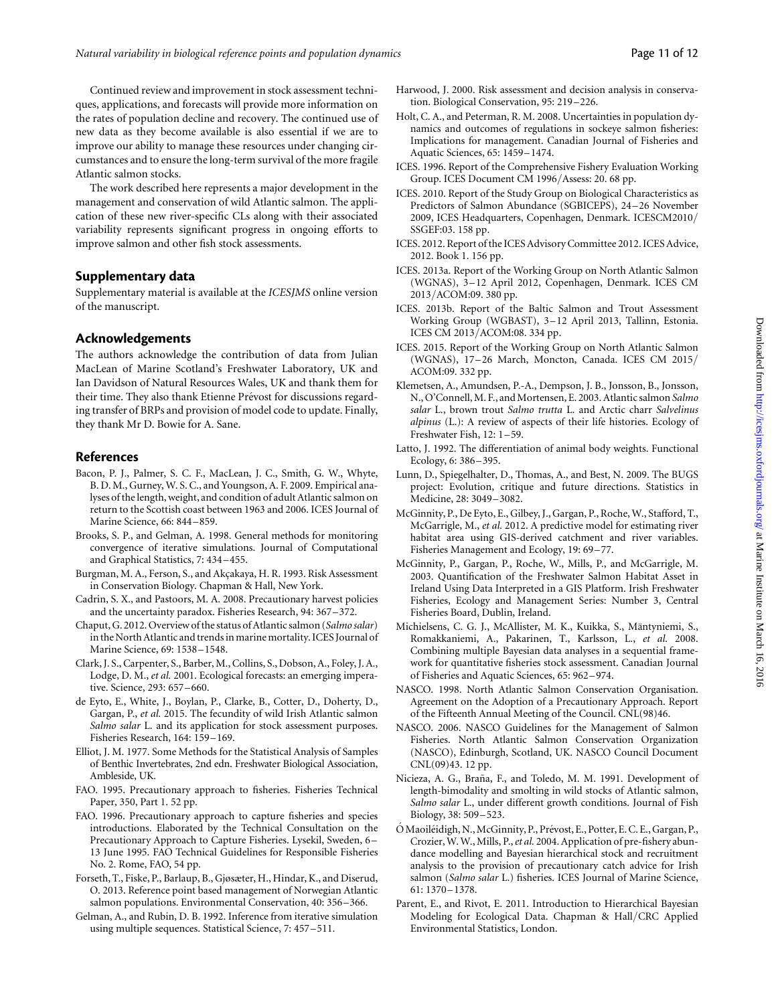<span id="page-11-0"></span>Continued review and improvement in stock assessment techniques, applications, and forecasts will provide more information on the rates of population decline and recovery. The continued use of new data as they become available is also essential if we are to improve our ability to manage these resources under changing circumstances and to ensure the long-term survival of the more fragile Atlantic salmon stocks.

The work described here represents a major development in the management and conservation of wild Atlantic salmon. The application of these new river-specific CLs along with their associated variability represents significant progress in ongoing efforts to improve salmon and other fish stock assessments.

#### Supplementary data

[Supplementary material is available at the](http://icesjms.oxfordjournals.org/lookup/suppl/doi:10.1093/icesjms/fsw015/-/DC1) ICESJMS online version [of the manuscript.](http://icesjms.oxfordjournals.org/lookup/suppl/doi:10.1093/icesjms/fsw015/-/DC1)

#### Acknowledgements

The authors acknowledge the contribution of data from Julian MacLean of Marine Scotland's Freshwater Laboratory, UK and Ian Davidson of Natural Resources Wales, UK and thank them for their time. They also thank Etienne Prévost for discussions regarding transfer of BRPs and provision of model code to update. Finally, they thank Mr D. Bowie for A. Sane.

#### References

- Bacon, P. J., Palmer, S. C. F., MacLean, J. C., Smith, G. W., Whyte, B. D. M., Gurney, W. S. C., and Youngson, A. F. 2009. Empirical analyses of the length, weight, and condition of adult Atlantic salmon on return to the Scottish coast between 1963 and 2006. ICES Journal of Marine Science, 66: 844–859.
- Brooks, S. P., and Gelman, A. 1998. General methods for monitoring convergence of iterative simulations. Journal of Computational and Graphical Statistics, 7: 434 –455.
- Burgman, M. A., Ferson, S., and Akçakaya, H. R. 1993. Risk Assessment in Conservation Biology. Chapman & Hall, New York.
- Cadrin, S. X., and Pastoors, M. A. 2008. Precautionary harvest policies and the uncertainty paradox. Fisheries Research, 94: 367–372.
- Chaput, G. 2012. Overview of the status of Atlantic salmon (Salmo salar) in the North Atlantic and trends in marine mortality. ICES Journal of Marine Science, 69: 1538–1548.
- Clark, J. S., Carpenter, S., Barber, M., Collins, S., Dobson, A., Foley, J. A., Lodge, D. M., et al. 2001. Ecological forecasts: an emerging imperative. Science, 293: 657 –660.
- de Eyto, E., White, J., Boylan, P., Clarke, B., Cotter, D., Doherty, D., Gargan, P., et al. 2015. The fecundity of wild Irish Atlantic salmon Salmo salar L. and its application for stock assessment purposes. Fisheries Research, 164: 159–169.
- Elliot, J. M. 1977. Some Methods for the Statistical Analysis of Samples of Benthic Invertebrates, 2nd edn. Freshwater Biological Association, Ambleside, UK.
- FAO. 1995. Precautionary approach to fisheries. Fisheries Technical Paper, 350, Part 1. 52 pp.
- FAO. 1996. Precautionary approach to capture fisheries and species introductions. Elaborated by the Technical Consultation on the Precautionary Approach to Capture Fisheries. Lysekil, Sweden, 6 – 13 June 1995. FAO Technical Guidelines for Responsible Fisheries No. 2. Rome, FAO, 54 pp.
- Forseth, T., Fiske, P., Barlaup, B., Gjøsæter, H., Hindar, K., and Diserud, O. 2013. Reference point based management of Norwegian Atlantic salmon populations. Environmental Conservation, 40: 356–366.
- Gelman, A., and Rubin, D. B. 1992. Inference from iterative simulation using multiple sequences. Statistical Science, 7: 457–511.
- Harwood, J. 2000. Risk assessment and decision analysis in conservation. Biological Conservation, 95: 219–226.
- Holt, C. A., and Peterman, R. M. 2008. Uncertainties in population dynamics and outcomes of regulations in sockeye salmon fisheries: Implications for management. Canadian Journal of Fisheries and Aquatic Sciences, 65: 1459–1474.
- ICES. 1996. Report of the Comprehensive Fishery Evaluation Working Group. ICES Document CM 1996/Assess: 20. 68 pp.
- ICES. 2010. Report of the Study Group on Biological Characteristics as Predictors of Salmon Abundance (SGBICEPS), 24 –26 November 2009, ICES Headquarters, Copenhagen, Denmark. ICESCM2010/ SSGEF:03. 158 pp.
- ICES. 2012. Report of the ICES Advisory Committee 2012. ICES Advice, 2012. Book 1. 156 pp.
- ICES. 2013a. Report of the Working Group on North Atlantic Salmon (WGNAS), 3–12 April 2012, Copenhagen, Denmark. ICES CM 2013/ACOM:09. 380 pp.
- ICES. 2013b. Report of the Baltic Salmon and Trout Assessment Working Group (WGBAST), 3-12 April 2013, Tallinn, Estonia. ICES CM 2013/ACOM:08. 334 pp.
- ICES. 2015. Report of the Working Group on North Atlantic Salmon (WGNAS), 17–26 March, Moncton, Canada. ICES CM 2015/ ACOM:09. 332 pp.
- Klemetsen, A., Amundsen, P.-A., Dempson, J. B., Jonsson, B., Jonsson, N., O'Connell, M. F., and Mortensen, E. 2003. Atlantic salmon Salmo salar L., brown trout Salmo trutta L. and Arctic charr Salvelinus alpinus (L.): A review of aspects of their life histories. Ecology of Freshwater Fish, 12: 1-59.
- Latto, J. 1992. The differentiation of animal body weights. Functional Ecology, 6: 386–395.
- Lunn, D., Spiegelhalter, D., Thomas, A., and Best, N. 2009. The BUGS project: Evolution, critique and future directions. Statistics in Medicine, 28: 3049 –3082.
- McGinnity, P., De Eyto, E., Gilbey, J., Gargan, P., Roche, W., Stafford, T., McGarrigle, M., et al. 2012. A predictive model for estimating river habitat area using GIS-derived catchment and river variables. Fisheries Management and Ecology, 19: 69–77.
- McGinnity, P., Gargan, P., Roche, W., Mills, P., and McGarrigle, M. 2003. Quantification of the Freshwater Salmon Habitat Asset in Ireland Using Data Interpreted in a GIS Platform. Irish Freshwater Fisheries, Ecology and Management Series: Number 3, Central Fisheries Board, Dublin, Ireland.
- Michielsens, C. G. J., McAllister, M. K., Kuikka, S., Mäntyniemi, S., Romakkaniemi, A., Pakarinen, T., Karlsson, L., et al. 2008. Combining multiple Bayesian data analyses in a sequential framework for quantitative fisheries stock assessment. Canadian Journal of Fisheries and Aquatic Sciences, 65: 962–974.
- NASCO. 1998. North Atlantic Salmon Conservation Organisation. Agreement on the Adoption of a Precautionary Approach. Report of the Fifteenth Annual Meeting of the Council. CNL(98)46.
- NASCO. 2006. NASCO Guidelines for the Management of Salmon Fisheries. North Atlantic Salmon Conservation Organization (NASCO), Edinburgh, Scotland, UK. NASCO Council Document CNL(09)43. 12 pp.
- Nicieza, A. G., Braña, F., and Toledo, M. M. 1991. Development of length-bimodality and smolting in wild stocks of Atlantic salmon, Salmo salar L., under different growth conditions. Journal of Fish Biology, 38: 509 –523.
- Ó Maoiléidigh, N., McGinnity, P., Prévost, E., Potter, E. C. E., Gargan, P., Crozier,W.W., Mills, P.,et al. 2004. Application of pre-fishery abundance modelling and Bayesian hierarchical stock and recruitment analysis to the provision of precautionary catch advice for Irish salmon (Salmo salar L.) fisheries. ICES Journal of Marine Science, 61: 1370–1378.
- Parent, E., and Rivot, E. 2011. Introduction to Hierarchical Bayesian Modeling for Ecological Data. Chapman & Hall/CRC Applied Environmental Statistics, London.